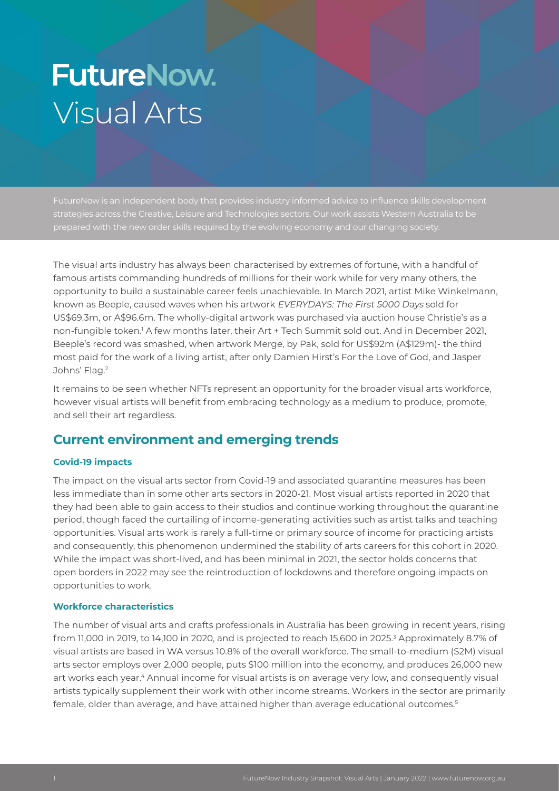# **FutureNow.** Visual Arts

strategies across the Creative, Leisure and Technologies sectors. Our work assists Western Australia to be

The visual arts industry has always been characterised by extremes of fortune, with a handful of famous artists commanding hundreds of millions for their work while for very many others, the opportunity to build a sustainable career feels unachievable. In March 2021, artist Mike Winkelmann, known as Beeple, caused waves when his artwork EVERYDAYS: The First 5000 Days sold for US\$69.3m, or A\$96.6m. The wholly-digital artwork was purchased via auction house Christie's as a non-fungible token.1 A few months later, their Art + Tech Summit sold out. And in December 2021, Beeple's record was smashed, when artwork Merge, by Pak, sold for US\$92m (A\$129m)- the third most paid for the work of a living artist, after only Damien Hirst's For the Love of God, and Jasper Johns' Flag.<sup>2</sup>

It remains to be seen whether NFTs represent an opportunity for the broader visual arts workforce, however visual artists will benefit from embracing technology as a medium to produce, promote, and sell their art regardless.

## **Current environment and emerging trends**

## **Covid-19 impacts**

The impact on the visual arts sector from Covid-19 and associated quarantine measures has been less immediate than in some other arts sectors in 2020-21. Most visual artists reported in 2020 that they had been able to gain access to their studios and continue working throughout the quarantine period, though faced the curtailing of income-generating activities such as artist talks and teaching opportunities. Visual arts work is rarely a full-time or primary source of income for practicing artists and consequently, this phenomenon undermined the stability of arts careers for this cohort in 2020. While the impact was short-lived, and has been minimal in 2021, the sector holds concerns that open borders in 2022 may see the reintroduction of lockdowns and therefore ongoing impacts on opportunities to work.

## **Workforce characteristics**

The number of visual arts and crafts professionals in Australia has been growing in recent years, rising from 11,000 in 2019, to 14,100 in 2020, and is projected to reach 15,600 in 2025. $^{\rm 3}$  Approximately 8.7% of visual artists are based in WA versus 10.8% of the overall workforce. The small-to-medium (S2M) visual arts sector employs over 2,000 people, puts \$100 million into the economy, and produces 26,000 new art works each year.<sup>4</sup> Annual income for visual artists is on average very low, and consequently visual artists typically supplement their work with other income streams. Workers in the sector are primarily female, older than average, and have attained higher than average educational outcomes.<sup>5</sup>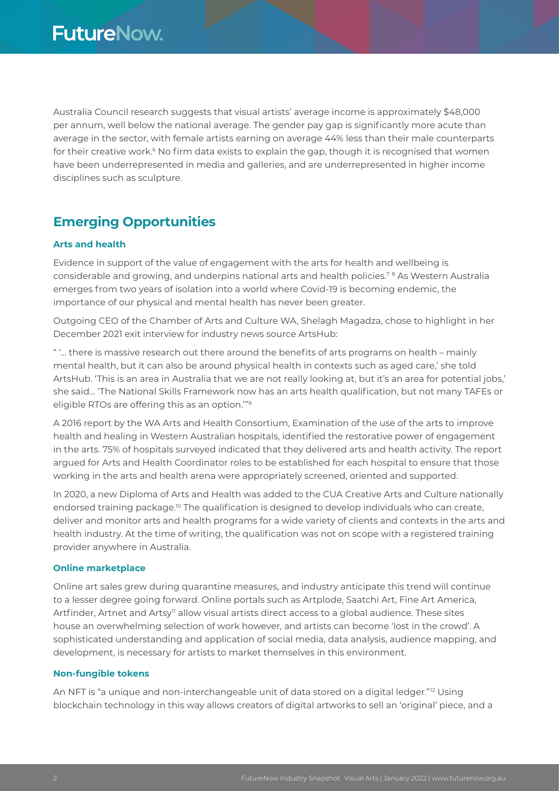Australia Council research suggests that visual artists' average income is approximately \$48,000 per annum, well below the national average. The gender pay gap is significantly more acute than average in the sector, with female artists earning on average 44% less than their male counterparts for their creative work.<sup>6</sup> No firm data exists to explain the gap, though it is recognised that women have been underrepresented in media and galleries, and are underrepresented in higher income disciplines such as sculpture.

## **Emerging Opportunities**

## **Arts and health**

Evidence in support of the value of engagement with the arts for health and wellbeing is considerable and growing, and underpins national arts and health policies.7 8 As Western Australia emerges from two years of isolation into a world where Covid-19 is becoming endemic, the importance of our physical and mental health has never been greater.

Outgoing CEO of the Chamber of Arts and Culture WA, Shelagh Magadza, chose to highlight in her December 2021 exit interview for industry news source ArtsHub:

" '… there is massive research out there around the benefits of arts programs on health – mainly mental health, but it can also be around physical health in contexts such as aged care,' she told ArtsHub. 'This is an area in Australia that we are not really looking at, but it's an area for potential jobs,' she said… 'The National Skills Framework now has an arts health qualification, but not many TAFEs or eligible RTOs are offering this as an option.'"9

A 2016 report by the WA Arts and Health Consortium, Examination of the use of the arts to improve health and healing in Western Australian hospitals, identified the restorative power of engagement in the arts. 75% of hospitals surveyed indicated that they delivered arts and health activity. The report argued for Arts and Health Coordinator roles to be established for each hospital to ensure that those working in the arts and health arena were appropriately screened, oriented and supported.

In 2020, a new Diploma of Arts and Health was added to the CUA Creative Arts and Culture nationally endorsed training package.<sup>10</sup> The qualification is designed to develop individuals who can create, deliver and monitor arts and health programs for a wide variety of clients and contexts in the arts and health industry. At the time of writing, the qualification was not on scope with a registered training provider anywhere in Australia.

## **Online marketplace**

Online art sales grew during quarantine measures, and industry anticipate this trend will continue to a lesser degree going forward. Online portals such as Artplode, Saatchi Art, Fine Art America, Artfinder, Artnet and Artsy<sup>n</sup> allow visual artists direct access to a global audience. These sites house an overwhelming selection of work however, and artists can become 'lost in the crowd'. A sophisticated understanding and application of social media, data analysis, audience mapping, and development, is necessary for artists to market themselves in this environment.

## **Non-fungible tokens**

An NFT is "a unique and non-interchangeable unit of data stored on a digital ledger."<sup>12</sup> Using blockchain technology in this way allows creators of digital artworks to sell an 'original' piece, and a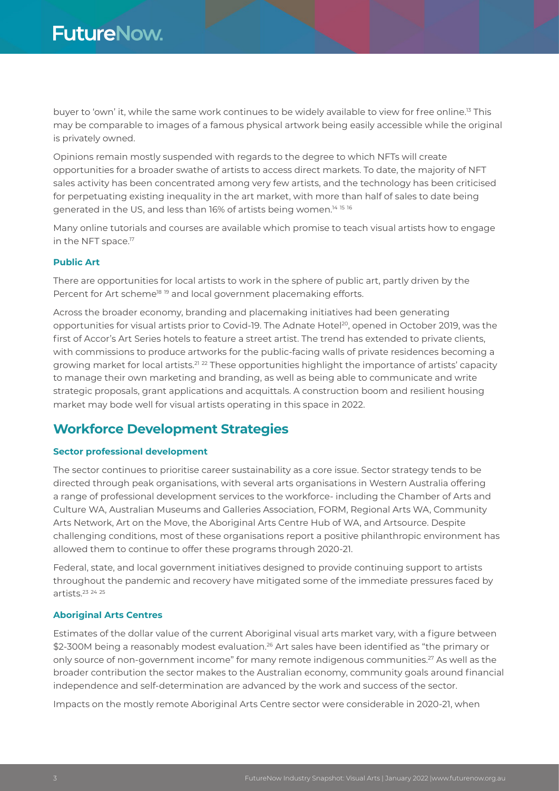buyer to 'own' it, while the same work continues to be widely available to view for free online.13 This may be comparable to images of a famous physical artwork being easily accessible while the original is privately owned.

Opinions remain mostly suspended with regards to the degree to which NFTs will create opportunities for a broader swathe of artists to access direct markets. To date, the majority of NFT sales activity has been concentrated among very few artists, and the technology has been criticised for perpetuating existing inequality in the art market, with more than half of sales to date being generated in the US, and less than 16% of artists being women.<sup>14 15 16</sup>

Many online tutorials and courses are available which promise to teach visual artists how to engage in the NFT space.<sup>17</sup>

#### **Public Art**

There are opportunities for local artists to work in the sphere of public art, partly driven by the Percent for Art scheme<sup>18 19</sup> and local government placemaking efforts.

Across the broader economy, branding and placemaking initiatives had been generating opportunities for visual artists prior to Covid-19. The Adnate Hotel<sup>20</sup>, opened in October 2019, was the first of Accor's Art Series hotels to feature a street artist. The trend has extended to private clients, with commissions to produce artworks for the public-facing walls of private residences becoming a growing market for local artists.<sup>21</sup> 22 These opportunities highlight the importance of artists' capacity to manage their own marketing and branding, as well as being able to communicate and write strategic proposals, grant applications and acquittals. A construction boom and resilient housing market may bode well for visual artists operating in this space in 2022.

## **Workforce Development Strategies**

## **Sector professional development**

The sector continues to prioritise career sustainability as a core issue. Sector strategy tends to be directed through peak organisations, with several arts organisations in Western Australia offering a range of professional development services to the workforce- including the Chamber of Arts and Culture WA, Australian Museums and Galleries Association, FORM, Regional Arts WA, Community Arts Network, Art on the Move, the Aboriginal Arts Centre Hub of WA, and Artsource. Despite challenging conditions, most of these organisations report a positive philanthropic environment has allowed them to continue to offer these programs through 2020-21.

Federal, state, and local government initiatives designed to provide continuing support to artists throughout the pandemic and recovery have mitigated some of the immediate pressures faced by artists  $23$  24 25

## **Aboriginal Arts Centres**

Estimates of the dollar value of the current Aboriginal visual arts market vary, with a figure between \$2-300M being a reasonably modest evaluation.<sup>26</sup> Art sales have been identified as "the primary or only source of non-government income" for many remote indigenous communities.<sup>27</sup> As well as the broader contribution the sector makes to the Australian economy, community goals around financial independence and self-determination are advanced by the work and success of the sector.

Impacts on the mostly remote Aboriginal Arts Centre sector were considerable in 2020-21, when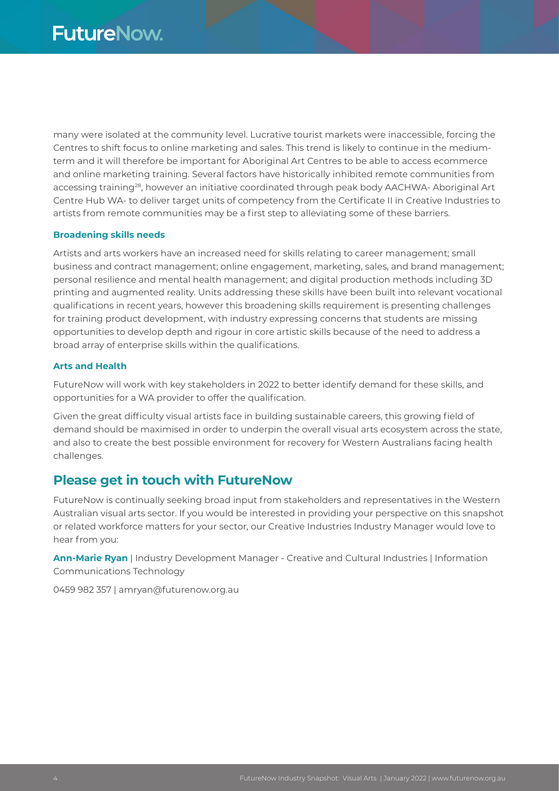many were isolated at the community level. Lucrative tourist markets were inaccessible, forcing the Centres to shift focus to online marketing and sales. This trend is likely to continue in the mediumterm and it will therefore be important for Aboriginal Art Centres to be able to access ecommerce and online marketing training. Several factors have historically inhibited remote communities from accessing training<sup>28</sup>, however an initiative coordinated through peak body AACHWA- Aboriginal Art Centre Hub WA- to deliver target units of competency from the Certificate II in Creative Industries to artists from remote communities may be a first step to alleviating some of these barriers.

#### **Broadening skills needs**

Artists and arts workers have an increased need for skills relating to career management; small business and contract management; online engagement, marketing, sales, and brand management; personal resilience and mental health management; and digital production methods including 3D printing and augmented reality. Units addressing these skills have been built into relevant vocational qualifications in recent years, however this broadening skills requirement is presenting challenges for training product development, with industry expressing concerns that students are missing opportunities to develop depth and rigour in core artistic skills because of the need to address a broad array of enterprise skills within the qualifications.

#### **Arts and Health**

FutureNow will work with key stakeholders in 2022 to better identify demand for these skills, and opportunities for a WA provider to offer the qualification.

Given the great difficulty visual artists face in building sustainable careers, this growing field of demand should be maximised in order to underpin the overall visual arts ecosystem across the state, and also to create the best possible environment for recovery for Western Australians facing health challenges.

## **Please get in touch with FutureNow**

FutureNow is continually seeking broad input from stakeholders and representatives in the Western Australian visual arts sector. If you would be interested in providing your perspective on this snapshot or related workforce matters for your sector, our Creative Industries Industry Manager would love to hear from you:

**Ann-Marie Ryan** | Industry Development Manager - Creative and Cultural Industries | Information Communications Technology

0459 982 357 | amryan@futurenow.org.au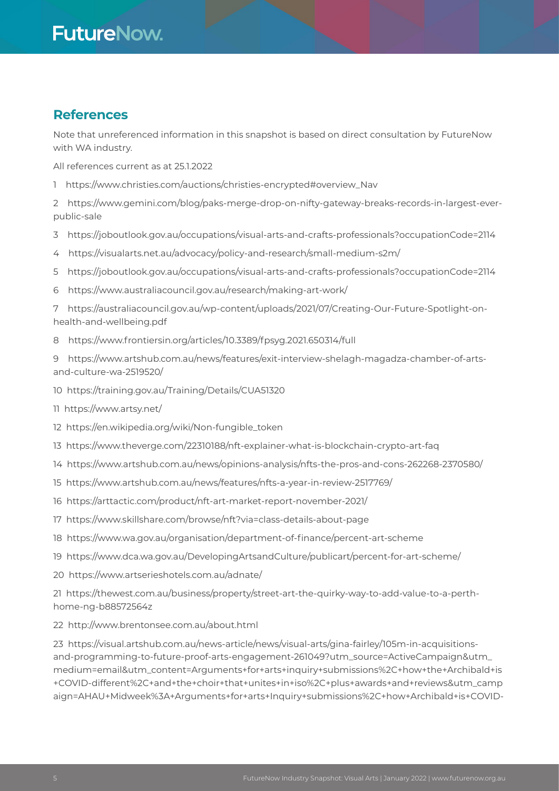## **FutureNow.**

## **References**

Note that unreferenced information in this snapshot is based on direct consultation by FutureNow with WA industry.

All references current as at 25.1.2022

- 1 https://www.christies.com/auctions/christies-encrypted#overview\_Nav
- 2 https://www.gemini.com/blog/paks-merge-drop-on-nifty-gateway-breaks-records-in-largest-everpublic-sale
- 3 https://joboutlook.gov.au/occupations/visual-arts-and-crafts-professionals?occupationCode=2114
- 4 https://visualarts.net.au/advocacy/policy-and-research/small-medium-s2m/
- 5 https://joboutlook.gov.au/occupations/visual-arts-and-crafts-professionals?occupationCode=2114
- 6 https://www.australiacouncil.gov.au/research/making-art-work/
- 7 https://australiacouncil.gov.au/wp-content/uploads/2021/07/Creating-Our-Future-Spotlight-onhealth-and-wellbeing.pdf
- 8 https://www.frontiersin.org/articles/10.3389/fpsyg.2021.650314/full

9 https://www.artshub.com.au/news/features/exit-interview-shelagh-magadza-chamber-of-artsand-culture-wa-2519520/

- 10 https://training.gov.au/Training/Details/CUA51320
- 11 https://www.artsy.net/
- 12 https://en.wikipedia.org/wiki/Non-fungible\_token
- 13 https://www.theverge.com/22310188/nft-explainer-what-is-blockchain-crypto-art-faq
- 14 https://www.artshub.com.au/news/opinions-analysis/nfts-the-pros-and-cons-262268-2370580/
- 15 https://www.artshub.com.au/news/features/nfts-a-year-in-review-2517769/
- 16 https://arttactic.com/product/nft-art-market-report-november-2021/
- 17 https://www.skillshare.com/browse/nft?via=class-details-about-page
- 18 https://www.wa.gov.au/organisation/department-of-finance/percent-art-scheme
- 19 https://www.dca.wa.gov.au/DevelopingArtsandCulture/publicart/percent-for-art-scheme/
- 20 https://www.artserieshotels.com.au/adnate/

21 https://thewest.com.au/business/property/street-art-the-quirky-way-to-add-value-to-a-perthhome-ng-b88572564z

22 http://www.brentonsee.com.au/about.html

23 https://visual.artshub.com.au/news-article/news/visual-arts/gina-fairley/105m-in-acquisitionsand-programming-to-future-proof-arts-engagement-261049?utm\_source=ActiveCampaign&utm\_ medium=email&utm\_content=Arguments+for+arts+inquiry+submissions%2C+how+the+Archibald+is +COVID-different%2C+and+the+choir+that+unites+in+iso%2C+plus+awards+and+reviews&utm\_camp aign=AHAU+Midweek%3A+Arguments+for+arts+Inquiry+submissions%2C+how+Archibald+is+COVID-